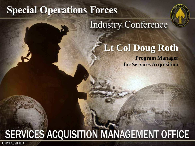# **Special Operations Forces**



# **Industry Conference**

# **Lt Col Doug Roth**

**Program Manager for Services Acquisition**

# **SERVICES ACQUISITION MANAGEMENT OFFICE**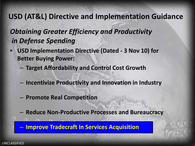#### **USD (AT&L) Directive and Implementation Guidance**

#### *Obtaining Greater Efficiency and Productivity in Defense Spending*

- **USD Implementation Directive (Dated - 3 Nov 10) for Better Buying Power:**
	- **Target Affordability and Control Cost Growth**
	- **Incentivize Productivity and Innovation in Industry**
	- **Promote Real Competition**
	- **Reduce Non-Productive Processes and Bureaucracy**

**Improve Tradecraft In Services Acquisition**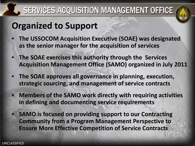

# **Organized to Support**

- **The USSOCOM Acquisition Executive (SOAE) was designated as the senior manager for the acquisition of services**
- **The SOAE exercises this authority through the Services Acquisition Management Office (SAMO) organized in July 2011**
- **The SOAE approves all governance in planning, execution, strategic sourcing, and management of service contracts**
- **Members of the SAMO work directly with requiring activities in defining and documenting service requirements**
- **SAMO is focused on providing support to our Contracting Community from a Program Management Perspective to Ensure More Effective Competition of Service Contracts**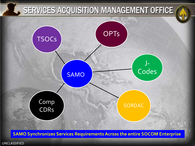

**SAMO Synchronizes Services Requirements Across the entire SOCOM Enterprise**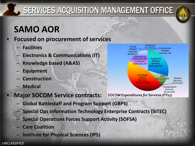# **SAMO AOR**

#### • **Focused on procurement of services**

- **Facilities**
- **Electronics & Communications (IT)**
- **Knowledge based (A&AS)**
- **Equipment**
- **Construction**
- **Medical**

### • **Major SOCOM Service contracts:**

- **Global Battlestaff and Program Support (GBPS)**
- **Special Ops Information Technology Enterprise Contracts (SITEC)**
- **Special Operations Forces Support Activity (SOFSA)**
- **Care Coalition**
- **Institute for Physical Sciences (IPS)**



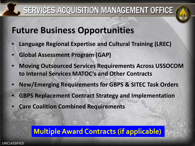

## **Future Business Opportunities**

- **Language Regional Expertise and Cultural Training (LREC)**
- **Global Assessment Program (GAP)**
- **Moving Outsourced Services Requirements Across USSOCOM to Internal Services MATOC's and Other Contracts**
- **New/Emerging Requirements for GBPS & SITEC Task Orders**
- **GBPS Replacement Contract Strategy and Implementation**
- **Care Coalition Combined Requirements**

### **Multiple Award Contracts (if applicable)**